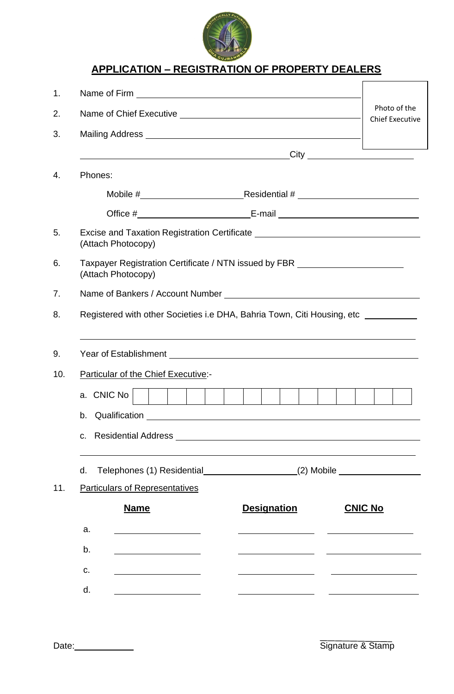

# **APPLICATION – REGISTRATION OF PROPERTY DEALERS**

| 1.  |                                                                                                                                                                       |                                        |                |  |  |  |
|-----|-----------------------------------------------------------------------------------------------------------------------------------------------------------------------|----------------------------------------|----------------|--|--|--|
| 2.  |                                                                                                                                                                       | Photo of the<br><b>Chief Executive</b> |                |  |  |  |
| 3.  |                                                                                                                                                                       |                                        |                |  |  |  |
|     |                                                                                                                                                                       |                                        |                |  |  |  |
| 4.  | Phones:                                                                                                                                                               |                                        |                |  |  |  |
|     |                                                                                                                                                                       |                                        |                |  |  |  |
|     |                                                                                                                                                                       |                                        |                |  |  |  |
| 5.  | Excise and Taxation Registration Certificate ___________________________________<br>(Attach Photocopy)                                                                |                                        |                |  |  |  |
| 6.  | Taxpayer Registration Certificate / NTN issued by FBR __________________________<br>(Attach Photocopy)                                                                |                                        |                |  |  |  |
| 7.  |                                                                                                                                                                       |                                        |                |  |  |  |
| 8.  | Registered with other Societies i.e DHA, Bahria Town, Citi Housing, etc _________<br>,我们也不会有什么。""我们的人,我们也不会有什么?""我们的人,我们也不会有什么?""我们的人,我们也不会有什么?""我们的人,我们也不会有什么?""我们的人 |                                        |                |  |  |  |
| 9.  |                                                                                                                                                                       |                                        |                |  |  |  |
| 10. |                                                                                                                                                                       |                                        |                |  |  |  |
|     | a. CNIC No                                                                                                                                                            |                                        |                |  |  |  |
|     | b.                                                                                                                                                                    |                                        |                |  |  |  |
|     | C.                                                                                                                                                                    |                                        |                |  |  |  |
|     | Telephones (1) Residential_____________________(2) Mobile ______________________<br>d.                                                                                |                                        |                |  |  |  |
| 11. | <b>Particulars of Representatives</b>                                                                                                                                 |                                        |                |  |  |  |
|     | <b>Name</b>                                                                                                                                                           | <b>Designation</b>                     | <b>CNIC No</b> |  |  |  |
|     | a.                                                                                                                                                                    |                                        |                |  |  |  |
|     | b.<br><u> 1989 - Johann Barbara, martin amerikan per</u>                                                                                                              |                                        |                |  |  |  |
|     | c.<br><u> 1989 - Johann Stoff, Amerikaansk politiker (</u>                                                                                                            |                                        |                |  |  |  |
|     | d.                                                                                                                                                                    |                                        |                |  |  |  |
|     |                                                                                                                                                                       |                                        |                |  |  |  |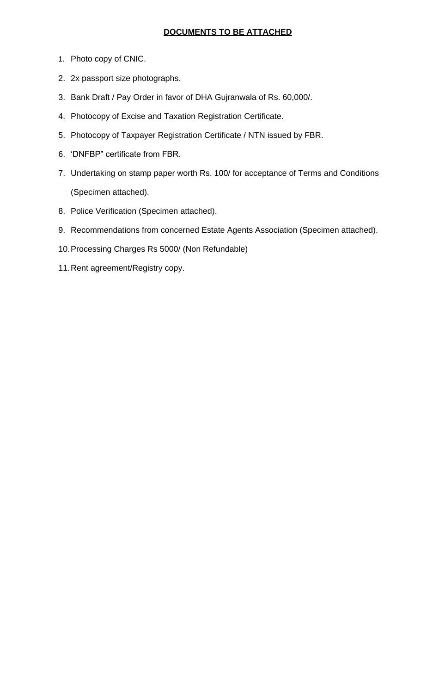## **DOCUMENTS TO BE ATTACHED**

- 1. Photo copy of CNIC.
- 2. 2x passport size photographs.
- 3. Bank Draft / Pay Order in favor of DHA Gujranwala of Rs. 60,000/.
- 4. Photocopy of Excise and Taxation Registration Certificate.
- 5. Photocopy of Taxpayer Registration Certificate / NTN issued by FBR.
- 6. 'DNFBP" certificate from FBR.
- 7. Undertaking on stamp paper worth Rs. 100/ for acceptance of Terms and Conditions (Specimen attached).
- 8. Police Verification (Specimen attached).
- 9. Recommendations from concerned Estate Agents Association (Specimen attached).
- 10.Processing Charges Rs 5000/ (Non Refundable)
- 11.Rent agreement/Registry copy.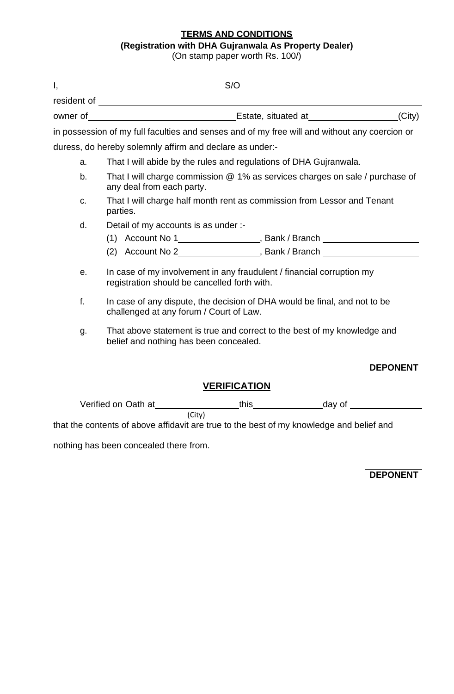## **TERMS AND CONDITIONS**

#### **(Registration with DHA Gujranwala As Property Dealer)**

(On stamp paper worth Rs. 100/)

|                                                                                                                 |                                                                                                                            |                                                                                                                       |        |  | S/O                                                                                           |  |  |
|-----------------------------------------------------------------------------------------------------------------|----------------------------------------------------------------------------------------------------------------------------|-----------------------------------------------------------------------------------------------------------------------|--------|--|-----------------------------------------------------------------------------------------------|--|--|
|                                                                                                                 |                                                                                                                            |                                                                                                                       |        |  |                                                                                               |  |  |
|                                                                                                                 |                                                                                                                            |                                                                                                                       |        |  |                                                                                               |  |  |
|                                                                                                                 |                                                                                                                            |                                                                                                                       |        |  | in possession of my full faculties and senses and of my free will and without any coercion or |  |  |
|                                                                                                                 |                                                                                                                            | duress, do hereby solemnly affirm and declare as under:-                                                              |        |  |                                                                                               |  |  |
|                                                                                                                 | a.                                                                                                                         | That I will abide by the rules and regulations of DHA Gujranwala.                                                     |        |  |                                                                                               |  |  |
| That I will charge commission @ 1% as services charges on sale / purchase of<br>b.<br>any deal from each party. |                                                                                                                            |                                                                                                                       |        |  |                                                                                               |  |  |
| C.                                                                                                              |                                                                                                                            | That I will charge half month rent as commission from Lessor and Tenant<br>parties.                                   |        |  |                                                                                               |  |  |
|                                                                                                                 | d.                                                                                                                         | Detail of my accounts is as under :-                                                                                  |        |  |                                                                                               |  |  |
|                                                                                                                 |                                                                                                                            |                                                                                                                       |        |  |                                                                                               |  |  |
|                                                                                                                 |                                                                                                                            |                                                                                                                       |        |  | (2) Account No 2________________________, Bank / Branch ________________________              |  |  |
|                                                                                                                 | е.                                                                                                                         | In case of my involvement in any fraudulent / financial corruption my<br>registration should be cancelled forth with. |        |  |                                                                                               |  |  |
|                                                                                                                 | f.<br>In case of any dispute, the decision of DHA would be final, and not to be<br>challenged at any forum / Court of Law. |                                                                                                                       |        |  |                                                                                               |  |  |
|                                                                                                                 | That above statement is true and correct to the best of my knowledge and<br>g.<br>belief and nothing has been concealed.   |                                                                                                                       |        |  |                                                                                               |  |  |
|                                                                                                                 |                                                                                                                            |                                                                                                                       |        |  | <b>DEPONENT</b>                                                                               |  |  |
| <b>VERIFICATION</b>                                                                                             |                                                                                                                            |                                                                                                                       |        |  |                                                                                               |  |  |
|                                                                                                                 |                                                                                                                            |                                                                                                                       |        |  |                                                                                               |  |  |
|                                                                                                                 |                                                                                                                            | that the contents of above affidavit are true to the best of my knowledge and belief and                              | (City) |  |                                                                                               |  |  |

nothing has been concealed there from.

**DEPONENT**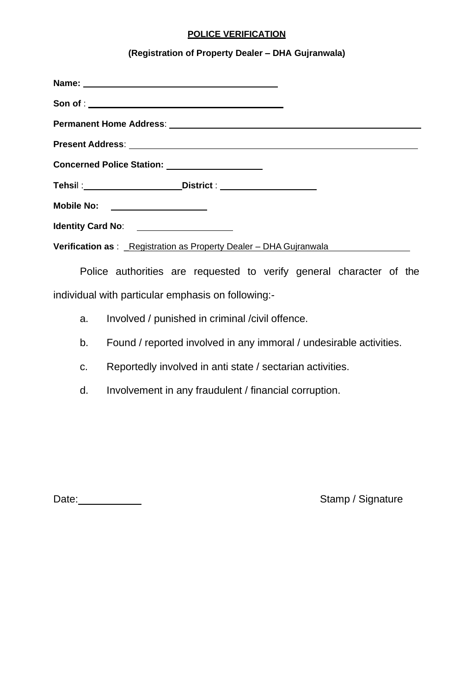### **POLICE VERIFICATION**

## **(Registration of Property Dealer – DHA Gujranwala)**

| Concerned Police Station: ____________________                     |  |  |  |  |  |  |
|--------------------------------------------------------------------|--|--|--|--|--|--|
|                                                                    |  |  |  |  |  |  |
| Mobile No: __________________                                      |  |  |  |  |  |  |
| Identity Card No: _____________________                            |  |  |  |  |  |  |
| Verification as : Registration as Property Dealer - DHA Gujranwala |  |  |  |  |  |  |

Police authorities are requested to verify general character of the individual with particular emphasis on following:-

- a. Involved / punished in criminal /civil offence.
- b. Found / reported involved in any immoral / undesirable activities.
- c. Reportedly involved in anti state / sectarian activities.
- d. Involvement in any fraudulent / financial corruption.

Date: No. 2013 Contract Contract Contract Contract Contract Contract Contract Contract Contract Contract Contract Contract Contract Contract Contract Contract Contract Contract Contract Contract Contract Contract Contract